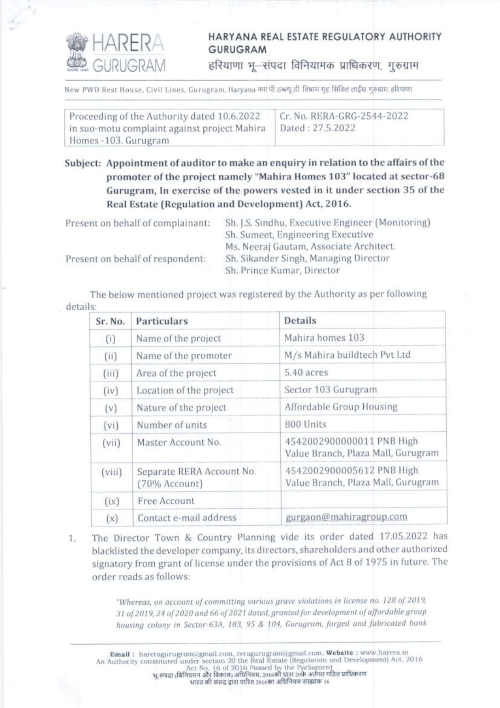

## HARYANA REAL ESTATE REGULATORY AUTHORITY **GURUGRAM**

हरियाणा भू-संपदा विनियामक प्राधिकरण, गुरुग्राम

New PWD Rest House, Civil Lines, Gurugram, Haryana नया पी उब्ल्यू ही विश्राम गृह सिविल लाईस गरुग्राम हरियाणा

| Proceeding of the Authority dated 10.6.2022  | Cr. No. RERA-GRG-2544-2022 |
|----------------------------------------------|----------------------------|
| in suo-motu complaint against project Mahira | Dated: 27.5.2022           |
| Homes -103. Gurugram                         |                            |

Subject: Appointment of auditor to make an enquiry in relation to the affairs of the promoter of the project namely "Mahira Homes 103" located at sector-68 Gurugram, In exercise of the powers vested in it under section 35 of the Real Estate (Regulation and Development) Act, 2016.

| Present on behalf of complainant: | Sh. J.S. Sindhu, Executive Engineer (Monitoring) |
|-----------------------------------|--------------------------------------------------|
|                                   | Sh. Sumeet, Engineering Executive                |
|                                   | Ms. Neeraj Gautam, Associate Architect.          |
| Present on behalf of respondent:  | Sh. Sikander Singh, Managing Director            |
|                                   | Sh. Prince Kumar, Director                       |

The below mentioned project was registered by the Authority as per following details:

| Sr. No. | Particulars                                | <b>Details</b>                                                  |
|---------|--------------------------------------------|-----------------------------------------------------------------|
| (i)     | Name of the project                        | Mahira homes 103                                                |
| (ii)    | Name of the promoter                       | M/s Mahira buildtech Pvt Ltd                                    |
| (iii)   | Area of the project                        | 5.40 acres                                                      |
| (iv)    | Location of the project                    | Sector 103 Gurugram                                             |
| (v)     | Nature of the project                      | Affordable Group Housing                                        |
| (vi)    | Number of units                            | 800 Units                                                       |
| (vii)   | Master Account No.                         | 4542002900000011 PNB High<br>Value Branch, Plaza Mall, Gurugram |
| (viii)  | Separate RERA Account No.<br>(70% Account) | 4542002900005612 PNB High<br>Value Branch, Plaza Mall, Gurugram |
| (ix)    | Free Account                               |                                                                 |
| (x)     | Contact e-mail address                     | gurgaon@mahiragroup.com                                         |

The Director Town & Country Planning vide its order dated 17.05.2022 has  $1.$ blacklisted the developer company, its directors, shareholders and other authorized signatory from grant of license under the provisions of Act 8 of 1975 in future. The order reads as follows:

> "Whereas, on account of committing various grave violations in license no. 128 of 2019, 31 of 2019, 24 of 2020 and 66 of 2021 dated, granted for development of affordable group housing colony in Sector-63A, 103, 95 & 104, Gurugram, forged and fabricated bank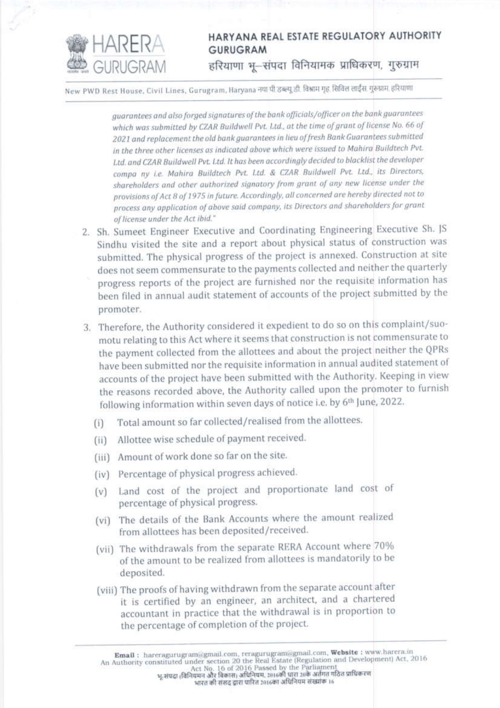

## HARYANA REAL ESTATE REGULATORY AUTHORITY **GURUGRAM** हरियाणा भू-संपदा विनियामक प्राधिकरण, गुरुग्राम

New PWD Rest House, Civil Lines, Gurugram, Haryana नया पी डब्ल्यू डी. विश्राम गृह. सिविल लाईंस. गुरुग्राम. हरियाणा

guarantees and also forged signatures of the bank officials/officer on the bank guarantees which was submitted by CZAR Buildwell Pvt. Ltd., at the time of grant of license No. 66 of 2021 and replacement the old bank guarantees in lieu of fresh Bank Guarantees submitted in the three other licenses as indicated above which were issued to Mahira Buildtech Pvt. Ltd. and CZAR Buildwell Pvt. Ltd. It has been accordingly decided to blacklist the developer compa ny i.e. Mahira Buildtech Pvt. Ltd. & CZAR Buildwell Pvt. Ltd., its Directors, shareholders and other authorized signatory from grant of any new license under the provisions of Act 8 of 1975 in future. Accordingly, all concerned are hereby directed not to process any application of above said company, its Directors and shareholders for grant of license under the Act ibid."

- 2. Sh. Sumeet Engineer Executive and Coordinating Engineering Executive Sh. JS Sindhu visited the site and a report about physical status of construction was submitted. The physical progress of the project is annexed. Construction at site does not seem commensurate to the payments collected and neither the quarterly progress reports of the project are furnished nor the requisite information has been filed in annual audit statement of accounts of the project submitted by the promoter.
- 3. Therefore, the Authority considered it expedient to do so on this complaint/suomotu relating to this Act where it seems that construction is not commensurate to the payment collected from the allottees and about the project neither the QPRs have been submitted nor the requisite information in annual audited statement of accounts of the project have been submitted with the Authority. Keeping in view the reasons recorded above, the Authority called upon the promoter to furnish following information within seven days of notice i.e. by 6th June, 2022.
	- Total amount so far collected/realised from the allottees.  $(i)$
	- (ii) Allottee wise schedule of payment received.
	- (iii) Amount of work done so far on the site.
	- (iv) Percentage of physical progress achieved.
	- Land cost of the project and proportionate land cost of  $(v)$ percentage of physical progress.
	- (vi) The details of the Bank Accounts where the amount realized from allottees has been deposited/received.
	- (vii) The withdrawals from the separate RERA Account where 70% of the amount to be realized from allottees is mandatorily to be deposited.
	- (viii) The proofs of having withdrawn from the separate account after it is certified by an engineer, an architect, and a chartered accountant in practice that the withdrawal is in proportion to the percentage of completion of the project.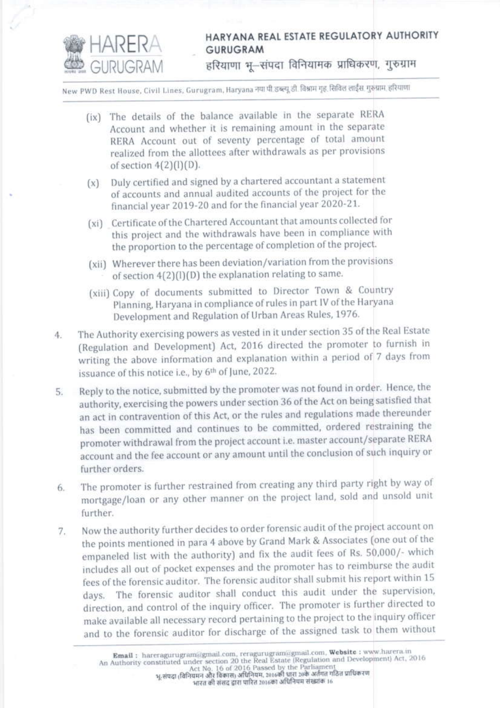

## HARYANA REAL ESTATE REGULATORY AUTHORITY **GURUGRAM**

हरियाणा भू-संपदा विनियामक प्राधिकरण, गुरुग्राम

New PWD Rest House, Civil Lines, Gurugram, Haryana नया पी.डब्ल्यू.डी. विश्राम गृह. सिविल लाईंस. गुरुग्राम. हरियाणा

- (ix) The details of the balance available in the separate RERA Account and whether it is remaining amount in the separate RERA Account out of seventy percentage of total amount realized from the allottees after withdrawals as per provisions of section  $4(2)(1)(D)$ .
- $(x)$  Duly certified and signed by a chartered accountant a statement of accounts and annual audited accounts of the project for the financial year 2019-20 and for the financial year 2020-21.
- (xi) Certificate of the Chartered Accountant that amounts collected for this project and the withdrawals have been in compliance with the proportion to the percentage of completion of the project.
- (xii) Wherever there has been deviation/variation from the provisions of section 4(2)(l)(D) the explanation relating to same.
- (xiii) Copy of documents submitted to Director Town & Country Planning, Haryana in compliance of rules in part IV of the Haryana Development and Regulation of Urban Areas Rules, 1976.
- The Authority exercising powers as vested in it under section 35 of the Real Estate  $4.$ (Regulation and Development) Act, 2016 directed the promoter to furnish in writing the above information and explanation within a period of 7 days from issuance of this notice i.e., by 6th of June, 2022.
- Reply to the notice, submitted by the promoter was not found in order. Hence, the 5. authority, exercising the powers under section 36 of the Act on being satisfied that an act in contravention of this Act, or the rules and regulations made thereunder has been committed and continues to be committed, ordered restraining the promoter withdrawal from the project account i.e. master account/separate RERA account and the fee account or any amount until the conclusion of such inquiry or further orders.
- The promoter is further restrained from creating any third party right by way of 6. mortgage/loan or any other manner on the project land, sold and unsold unit further.
- Now the authority further decides to order forensic audit of the project account on 7. the points mentioned in para 4 above by Grand Mark & Associates (one out of the empaneled list with the authority) and fix the audit fees of Rs. 50,000/- which includes all out of pocket expenses and the promoter has to reimburse the audit fees of the forensic auditor. The forensic auditor shall submit his report within 15 days. The forensic auditor shall conduct this audit under the supervision, direction, and control of the inquiry officer. The promoter is further directed to make available all necessary record pertaining to the project to the inquiry officer and to the forensic auditor for discharge of the assigned task to them without